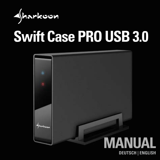

# **Swift Case PRO USB 3.0**

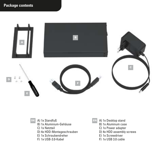#### **Package contents**



#### DE A) 1x Standfuß

- B) 1x Aluminium-Gehäuse
- C) 1x Netzteil
- D) 4x HDD-Montageschrauben
- E) 1x Schraubendreher
- F) 1x USB-3.0-Kabel
- EN A) 1x Desktop stand
	- B) 1x Aluminum case
	- C) 1x Power adapter
	- D) 4x HDD assembly screws
	- E) 1x Screwdriver
	- F) 1x USB 3.0 cable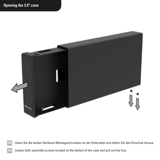

DE Lösen Sie die beiden Gehäuse-Montageschrauben an der Unterseite und ziehen Sie den Einschub heraus.

EN Loosen both assembly screws located on the bottom of the case and pull out the tray.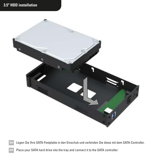### **3.5" HDD installation**



DE Legen Sie Ihre SATA-Festplatte in den Einschub und verbinden Sie diese mit dem SATA-Controller.

Place your SATA hard drive into the tray and connect it to the SATA controller.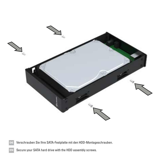

DE Verschrauben Sie Ihre SATA-Festplatte mit den HDD-Montageschrauben.

Secure your SATA hard drive with the HDD assembly screws.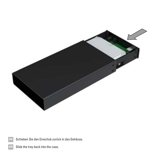

Schieben Sie den Einschub zurück in das Gehäuse.

Slide the tray back into the case.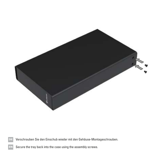

Verschrauben Sie den Einschub wieder mit den Gehäuse-Montageschrauben.

Secure the tray back into the case using the assembly screws.